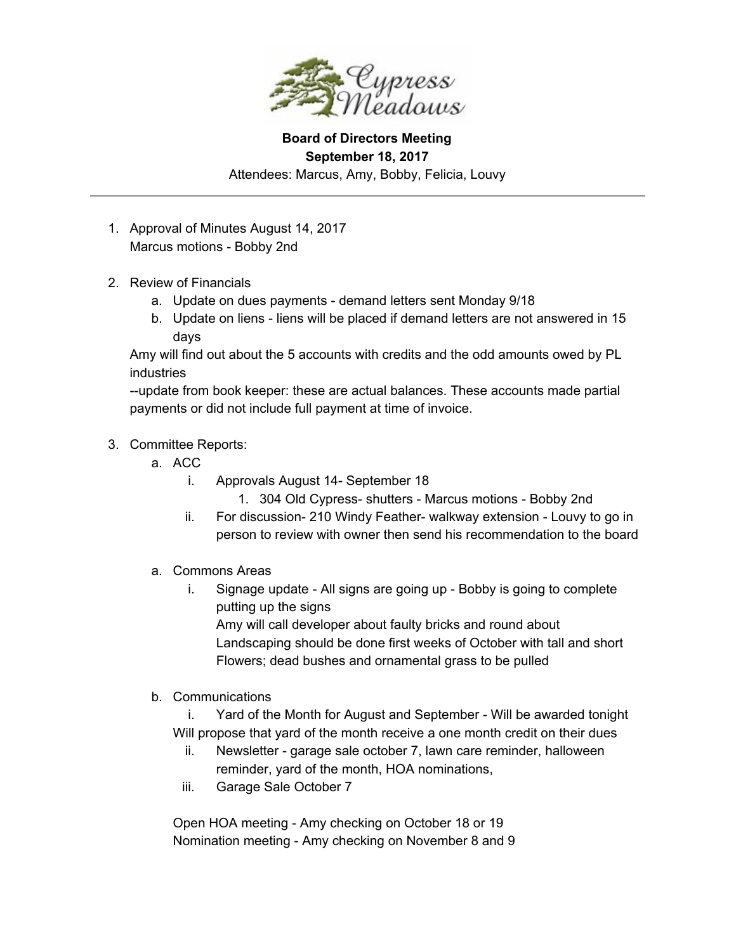

**Board of Directors Meeting September 18, 2017** Attendees: Marcus, Amy, Bobby, Felicia, Louvy

- 1. Approval of Minutes August 14, 2017 Marcus motions - Bobby 2nd
- 2. Review of Financials
	- a. Update on dues payments demand letters sent Monday 9/18
	- b. Update on liens liens will be placed if demand letters are not answered in 15 days

Amy will find out about the 5 accounts with credits and the odd amounts owed by PL industries

--update from book keeper: these are actual balances. These accounts made partial payments or did not include full payment at time of invoice.

## 3. Committee Reports:

- a. ACC
	- i. Approvals August 14- September 18
		- 1. 304 Old Cypress- shutters Marcus motions Bobby 2nd
	- ii. For discussion- 210 Windy Feather- walkway extension Louvy to go in person to review with owner then send his recommendation to the board
- a. Commons Areas
	- i. Signage update All signs are going up Bobby is going to complete putting up the signs

Amy will call developer about faulty bricks and round about Landscaping should be done first weeks of October with tall and short Flowers; dead bushes and ornamental grass to be pulled

b. Communications

i. Yard of the Month for August and September - Will be awarded tonight Will propose that yard of the month receive a one month credit on their dues

- ii. Newsletter garage sale october 7, lawn care reminder, halloween reminder, yard of the month, HOA nominations,
- iii. Garage Sale October 7

Open HOA meeting - Amy checking on October 18 or 19 Nomination meeting - Amy checking on November 8 and 9